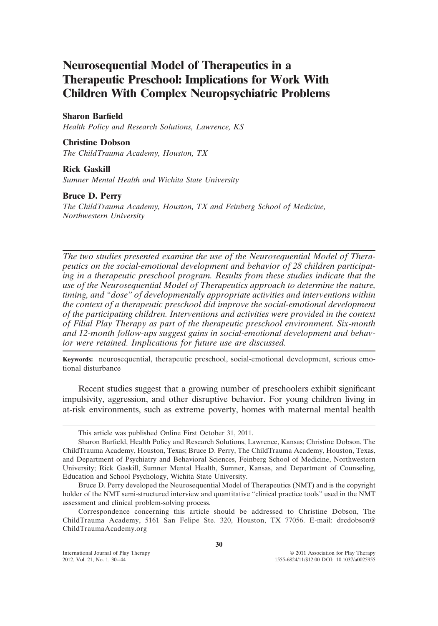# **Neurosequential Model of Therapeutics in a Therapeutic Preschool: Implications for Work With Children With Complex Neuropsychiatric Problems**

#### **Sharon Barfield**

*Health Policy and Research Solutions, Lawrence, KS*

## **Christine Dobson**

*The ChildTrauma Academy, Houston, TX*

#### **Rick Gaskill**

*Sumner Mental Health and Wichita State University*

#### **Bruce D. Perry**

*The ChildTrauma Academy, Houston, TX and Feinberg School of Medicine, Northwestern University*

*The two studies presented examine the use of the Neurosequential Model of Therapeutics on the social-emotional development and behavior of 28 children participating in a therapeutic preschool program. Results from these studies indicate that the use of the Neurosequential Model of Therapeutics approach to determine the nature, timing, and "dose" of developmentally appropriate activities and interventions within the context of a therapeutic preschool did improve the social-emotional development of the participating children. Interventions and activities were provided in the context of Filial Play Therapy as part of the therapeutic preschool environment. Six-month and 12-month follow-ups suggest gains in social-emotional development and behavior were retained. Implications for future use are discussed.*

**Keywords:** neurosequential, therapeutic preschool, social-emotional development, serious emotional disturbance

Recent studies suggest that a growing number of preschoolers exhibit significant impulsivity, aggression, and other disruptive behavior. For young children living in at-risk environments, such as extreme poverty, homes with maternal mental health

This article was published Online First October 31, 2011.

Sharon Barfield, Health Policy and Research Solutions, Lawrence, Kansas; Christine Dobson, The ChildTrauma Academy, Houston, Texas; Bruce D. Perry, The ChildTrauma Academy, Houston, Texas, and Department of Psychiatry and Behavioral Sciences, Feinberg School of Medicine, Northwestern University; Rick Gaskill, Sumner Mental Health, Sumner, Kansas, and Department of Counseling, Education and School Psychology, Wichita State University.

Bruce D. Perry developed the Neurosequential Model of Therapeutics (NMT) and is the copyright holder of the NMT semi-structured interview and quantitative "clinical practice tools" used in the NMT assessment and clinical problem-solving process.

Correspondence concerning this article should be addressed to Christine Dobson, The ChildTrauma Academy, 5161 San Felipe Ste. 320, Houston, TX 77056. E-mail: drcdobson@ ChildTraumaAcademy.org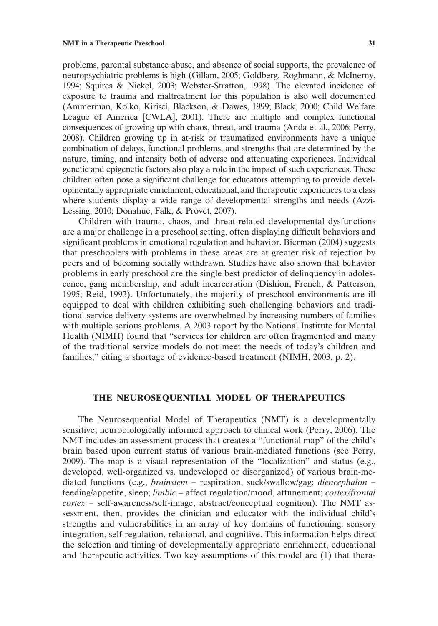problems, parental substance abuse, and absence of social supports, the prevalence of neuropsychiatric problems is high (Gillam, 2005; Goldberg, Roghmann, & McInerny, 1994; Squires & Nickel, 2003; Webster-Stratton, 1998). The elevated incidence of exposure to trauma and maltreatment for this population is also well documented (Ammerman, Kolko, Kirisci, Blackson, & Dawes, 1999; Black, 2000; Child Welfare League of America [CWLA], 2001). There are multiple and complex functional consequences of growing up with chaos, threat, and trauma (Anda et al., 2006; Perry, 2008). Children growing up in at-risk or traumatized environments have a unique combination of delays, functional problems, and strengths that are determined by the nature, timing, and intensity both of adverse and attenuating experiences. Individual genetic and epigenetic factors also play a role in the impact of such experiences. These children often pose a significant challenge for educators attempting to provide developmentally appropriate enrichment, educational, and therapeutic experiences to a class where students display a wide range of developmental strengths and needs (Azzi-Lessing, 2010; Donahue, Falk, & Provet, 2007).

Children with trauma, chaos, and threat-related developmental dysfunctions are a major challenge in a preschool setting, often displaying difficult behaviors and significant problems in emotional regulation and behavior. Bierman (2004) suggests that preschoolers with problems in these areas are at greater risk of rejection by peers and of becoming socially withdrawn. Studies have also shown that behavior problems in early preschool are the single best predictor of delinquency in adolescence, gang membership, and adult incarceration (Dishion, French, & Patterson, 1995; Reid, 1993). Unfortunately, the majority of preschool environments are ill equipped to deal with children exhibiting such challenging behaviors and traditional service delivery systems are overwhelmed by increasing numbers of families with multiple serious problems. A 2003 report by the National Institute for Mental Health (NIMH) found that "services for children are often fragmented and many of the traditional service models do not meet the needs of today's children and families," citing a shortage of evidence-based treatment (NIMH, 2003, p. 2).

# **THE NEUROSEQUENTIAL MODEL OF THERAPEUTICS**

The Neurosequential Model of Therapeutics (NMT) is a developmentally sensitive, neurobiologically informed approach to clinical work (Perry, 2006). The NMT includes an assessment process that creates a "functional map" of the child's brain based upon current status of various brain-mediated functions (see Perry, 2009). The map is a visual representation of the "localization" and status (e.g., developed, well-organized vs. undeveloped or disorganized) of various brain-mediated functions (e.g., *brainstem* – respiration, suck/swallow/gag; *diencephalon* – feeding/appetite, sleep; *limbic* – affect regulation/mood, attunement; *cortex/frontal cortex* – self-awareness/self-image, abstract/conceptual cognition). The NMT assessment, then, provides the clinician and educator with the individual child's strengths and vulnerabilities in an array of key domains of functioning: sensory integration, self-regulation, relational, and cognitive. This information helps direct the selection and timing of developmentally appropriate enrichment, educational and therapeutic activities. Two key assumptions of this model are (1) that thera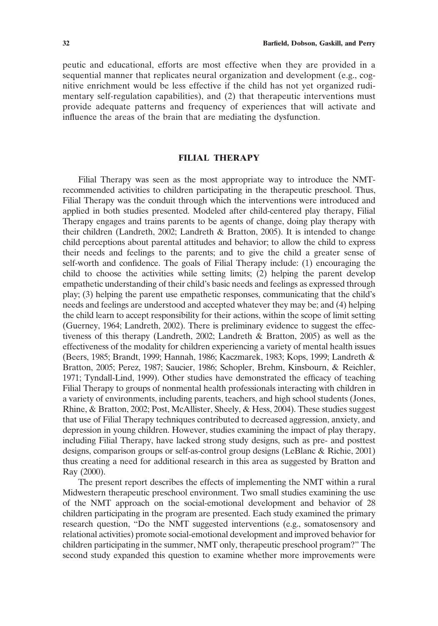peutic and educational, efforts are most effective when they are provided in a sequential manner that replicates neural organization and development (e.g., cognitive enrichment would be less effective if the child has not yet organized rudimentary self-regulation capabilities), and (2) that therapeutic interventions must provide adequate patterns and frequency of experiences that will activate and influence the areas of the brain that are mediating the dysfunction.

# **FILIAL THERAPY**

Filial Therapy was seen as the most appropriate way to introduce the NMTrecommended activities to children participating in the therapeutic preschool. Thus, Filial Therapy was the conduit through which the interventions were introduced and applied in both studies presented. Modeled after child-centered play therapy, Filial Therapy engages and trains parents to be agents of change, doing play therapy with their children (Landreth, 2002; Landreth & Bratton, 2005). It is intended to change child perceptions about parental attitudes and behavior; to allow the child to express their needs and feelings to the parents; and to give the child a greater sense of self-worth and confidence. The goals of Filial Therapy include: (1) encouraging the child to choose the activities while setting limits; (2) helping the parent develop empathetic understanding of their child's basic needs and feelings as expressed through play; (3) helping the parent use empathetic responses, communicating that the child's needs and feelings are understood and accepted whatever they may be; and (4) helping the child learn to accept responsibility for their actions, within the scope of limit setting (Guerney, 1964; Landreth, 2002). There is preliminary evidence to suggest the effectiveness of this therapy (Landreth, 2002; Landreth & Bratton, 2005) as well as the effectiveness of the modality for children experiencing a variety of mental health issues (Beers, 1985; Brandt, 1999; Hannah, 1986; Kaczmarek, 1983; Kops, 1999; Landreth & Bratton, 2005; Perez, 1987; Saucier, 1986; Schopler, Brehm, Kinsbourn, & Reichler, 1971; Tyndall-Lind, 1999). Other studies have demonstrated the efficacy of teaching Filial Therapy to groups of nonmental health professionals interacting with children in a variety of environments, including parents, teachers, and high school students (Jones, Rhine, & Bratton, 2002; Post, McAllister, Sheely, & Hess, 2004). These studies suggest that use of Filial Therapy techniques contributed to decreased aggression, anxiety, and depression in young children. However, studies examining the impact of play therapy, including Filial Therapy, have lacked strong study designs, such as pre- and posttest designs, comparison groups or self-as-control group designs (LeBlanc & Richie, 2001) thus creating a need for additional research in this area as suggested by Bratton and Ray (2000).

The present report describes the effects of implementing the NMT within a rural Midwestern therapeutic preschool environment. Two small studies examining the use of the NMT approach on the social-emotional development and behavior of 28 children participating in the program are presented. Each study examined the primary research question, "Do the NMT suggested interventions (e.g., somatosensory and relational activities) promote social-emotional development and improved behavior for children participating in the summer, NMT only, therapeutic preschool program?" The second study expanded this question to examine whether more improvements were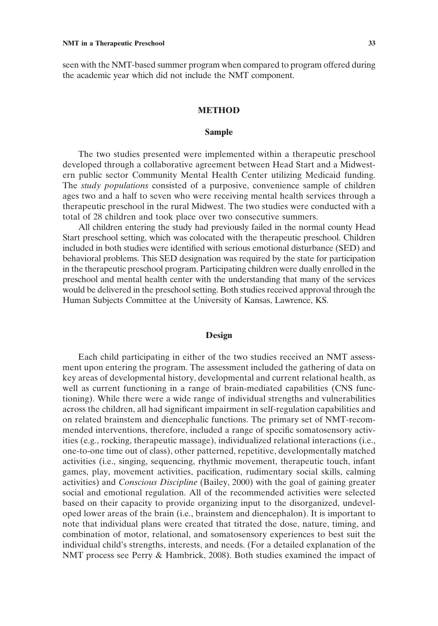seen with the NMT-based summer program when compared to program offered during the academic year which did not include the NMT component.

#### **METHOD**

#### **Sample**

The two studies presented were implemented within a therapeutic preschool developed through a collaborative agreement between Head Start and a Midwestern public sector Community Mental Health Center utilizing Medicaid funding. The *study populations* consisted of a purposive, convenience sample of children ages two and a half to seven who were receiving mental health services through a therapeutic preschool in the rural Midwest. The two studies were conducted with a total of 28 children and took place over two consecutive summers.

All children entering the study had previously failed in the normal county Head Start preschool setting, which was colocated with the therapeutic preschool. Children included in both studies were identified with serious emotional disturbance (SED) and behavioral problems. This SED designation was required by the state for participation in the therapeutic preschool program. Participating children were dually enrolled in the preschool and mental health center with the understanding that many of the services would be delivered in the preschool setting. Both studies received approval through the Human Subjects Committee at the University of Kansas, Lawrence, KS.

#### **Design**

Each child participating in either of the two studies received an NMT assessment upon entering the program. The assessment included the gathering of data on key areas of developmental history, developmental and current relational health, as well as current functioning in a range of brain-mediated capabilities (CNS functioning). While there were a wide range of individual strengths and vulnerabilities across the children, all had significant impairment in self-regulation capabilities and on related brainstem and diencephalic functions. The primary set of NMT-recommended interventions, therefore, included a range of specific somatosensory activities (e.g., rocking, therapeutic massage), individualized relational interactions (i.e., one-to-one time out of class), other patterned, repetitive, developmentally matched activities (i.e., singing, sequencing, rhythmic movement, therapeutic touch, infant games, play, movement activities, pacification, rudimentary social skills, calming activities) and *Conscious Discipline* (Bailey, 2000) with the goal of gaining greater social and emotional regulation. All of the recommended activities were selected based on their capacity to provide organizing input to the disorganized, undeveloped lower areas of the brain (i.e., brainstem and diencephalon). It is important to note that individual plans were created that titrated the dose, nature, timing, and combination of motor, relational, and somatosensory experiences to best suit the individual child's strengths, interests, and needs. (For a detailed explanation of the NMT process see Perry & Hambrick, 2008). Both studies examined the impact of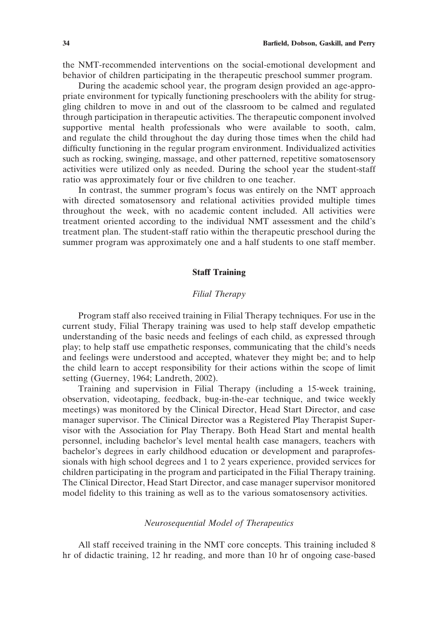the NMT-recommended interventions on the social-emotional development and behavior of children participating in the therapeutic preschool summer program.

During the academic school year, the program design provided an age-appropriate environment for typically functioning preschoolers with the ability for struggling children to move in and out of the classroom to be calmed and regulated through participation in therapeutic activities. The therapeutic component involved supportive mental health professionals who were available to sooth, calm, and regulate the child throughout the day during those times when the child had difficulty functioning in the regular program environment. Individualized activities such as rocking, swinging, massage, and other patterned, repetitive somatosensory activities were utilized only as needed. During the school year the student-staff ratio was approximately four or five children to one teacher.

In contrast, the summer program's focus was entirely on the NMT approach with directed somatosensory and relational activities provided multiple times throughout the week, with no academic content included. All activities were treatment oriented according to the individual NMT assessment and the child's treatment plan. The student-staff ratio within the therapeutic preschool during the summer program was approximately one and a half students to one staff member.

# **Staff Training**

# *Filial Therapy*

Program staff also received training in Filial Therapy techniques. For use in the current study, Filial Therapy training was used to help staff develop empathetic understanding of the basic needs and feelings of each child, as expressed through play; to help staff use empathetic responses, communicating that the child's needs and feelings were understood and accepted, whatever they might be; and to help the child learn to accept responsibility for their actions within the scope of limit setting (Guerney, 1964; Landreth, 2002).

Training and supervision in Filial Therapy (including a 15-week training, observation, videotaping, feedback, bug-in-the-ear technique, and twice weekly meetings) was monitored by the Clinical Director, Head Start Director, and case manager supervisor. The Clinical Director was a Registered Play Therapist Supervisor with the Association for Play Therapy. Both Head Start and mental health personnel, including bachelor's level mental health case managers, teachers with bachelor's degrees in early childhood education or development and paraprofessionals with high school degrees and 1 to 2 years experience, provided services for children participating in the program and participated in the Filial Therapy training. The Clinical Director, Head Start Director, and case manager supervisor monitored model fidelity to this training as well as to the various somatosensory activities.

# *Neurosequential Model of Therapeutics*

All staff received training in the NMT core concepts. This training included 8 hr of didactic training, 12 hr reading, and more than 10 hr of ongoing case-based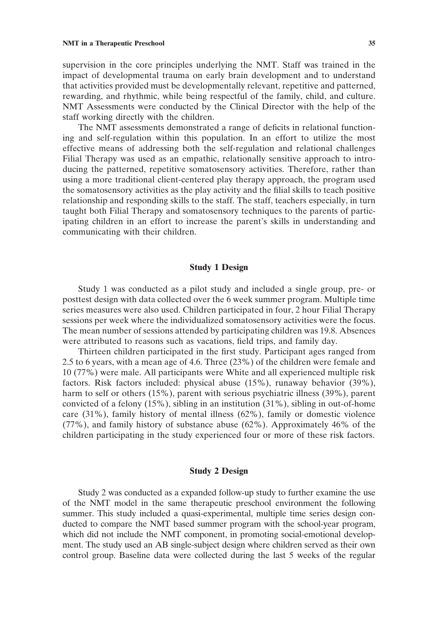#### **NMT in a Therapeutic Preschool 35**

supervision in the core principles underlying the NMT. Staff was trained in the impact of developmental trauma on early brain development and to understand that activities provided must be developmentally relevant, repetitive and patterned, rewarding, and rhythmic, while being respectful of the family, child, and culture.

staff working directly with the children. The NMT assessments demonstrated a range of deficits in relational functioning and self-regulation within this population. In an effort to utilize the most effective means of addressing both the self-regulation and relational challenges Filial Therapy was used as an empathic, relationally sensitive approach to introducing the patterned, repetitive somatosensory activities. Therefore, rather than using a more traditional client-centered play therapy approach, the program used the somatosensory activities as the play activity and the filial skills to teach positive relationship and responding skills to the staff. The staff, teachers especially, in turn taught both Filial Therapy and somatosensory techniques to the parents of participating children in an effort to increase the parent's skills in understanding and communicating with their children.

NMT Assessments were conducted by the Clinical Director with the help of the

# **Study 1 Design**

Study 1 was conducted as a pilot study and included a single group, pre- or posttest design with data collected over the 6 week summer program. Multiple time series measures were also used. Children participated in four, 2 hour Filial Therapy sessions per week where the individualized somatosensory activities were the focus. The mean number of sessions attended by participating children was 19.8. Absences were attributed to reasons such as vacations, field trips, and family day.

Thirteen children participated in the first study. Participant ages ranged from 2.5 to 6 years, with a mean age of 4.6. Three (23%) of the children were female and 10 (77%) were male. All participants were White and all experienced multiple risk factors. Risk factors included: physical abuse (15%), runaway behavior (39%), harm to self or others (15%), parent with serious psychiatric illness (39%), parent convicted of a felony (15%), sibling in an institution (31%), sibling in out-of-home care (31%), family history of mental illness (62%), family or domestic violence (77%), and family history of substance abuse (62%). Approximately 46% of the children participating in the study experienced four or more of these risk factors.

# **Study 2 Design**

Study 2 was conducted as a expanded follow-up study to further examine the use of the NMT model in the same therapeutic preschool environment the following summer. This study included a quasi-experimental, multiple time series design conducted to compare the NMT based summer program with the school-year program, which did not include the NMT component, in promoting social-emotional development. The study used an AB single-subject design where children served as their own control group. Baseline data were collected during the last 5 weeks of the regular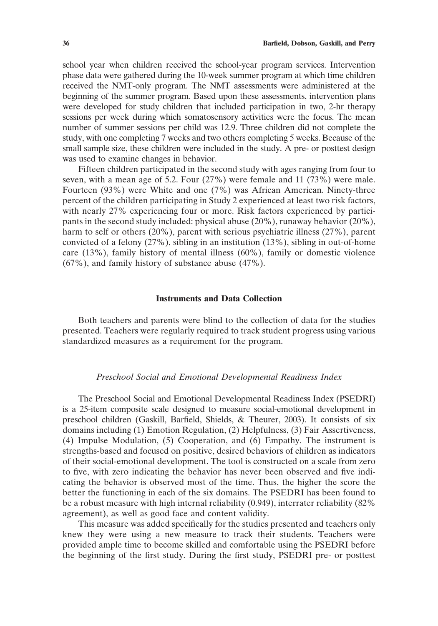school year when children received the school-year program services. Intervention phase data were gathered during the 10-week summer program at which time children received the NMT-only program. The NMT assessments were administered at the beginning of the summer program. Based upon these assessments, intervention plans were developed for study children that included participation in two, 2-hr therapy sessions per week during which somatosensory activities were the focus. The mean number of summer sessions per child was 12.9. Three children did not complete the study, with one completing 7 weeks and two others completing 5 weeks. Because of the small sample size, these children were included in the study. A pre- or posttest design was used to examine changes in behavior.

Fifteen children participated in the second study with ages ranging from four to seven, with a mean age of 5.2. Four (27%) were female and 11 (73%) were male. Fourteen (93%) were White and one (7%) was African American. Ninety-three percent of the children participating in Study 2 experienced at least two risk factors, with nearly 27% experiencing four or more. Risk factors experienced by participants in the second study included: physical abuse (20%), runaway behavior (20%), harm to self or others (20%), parent with serious psychiatric illness (27%), parent convicted of a felony (27%), sibling in an institution (13%), sibling in out-of-home care (13%), family history of mental illness (60%), family or domestic violence (67%), and family history of substance abuse (47%).

## **Instruments and Data Collection**

Both teachers and parents were blind to the collection of data for the studies presented. Teachers were regularly required to track student progress using various standardized measures as a requirement for the program.

#### *Preschool Social and Emotional Developmental Readiness Index*

The Preschool Social and Emotional Developmental Readiness Index (PSEDRI) is a 25-item composite scale designed to measure social-emotional development in preschool children (Gaskill, Barfield, Shields, & Theurer, 2003). It consists of six domains including (1) Emotion Regulation, (2) Helpfulness, (3) Fair Assertiveness, (4) Impulse Modulation, (5) Cooperation, and (6) Empathy. The instrument is strengths-based and focused on positive, desired behaviors of children as indicators of their social-emotional development. The tool is constructed on a scale from zero to five, with zero indicating the behavior has never been observed and five indicating the behavior is observed most of the time. Thus, the higher the score the better the functioning in each of the six domains. The PSEDRI has been found to be a robust measure with high internal reliability (0.949), interrater reliability (82% agreement), as well as good face and content validity.

This measure was added specifically for the studies presented and teachers only knew they were using a new measure to track their students. Teachers were provided ample time to become skilled and comfortable using the PSEDRI before the beginning of the first study. During the first study, PSEDRI pre- or posttest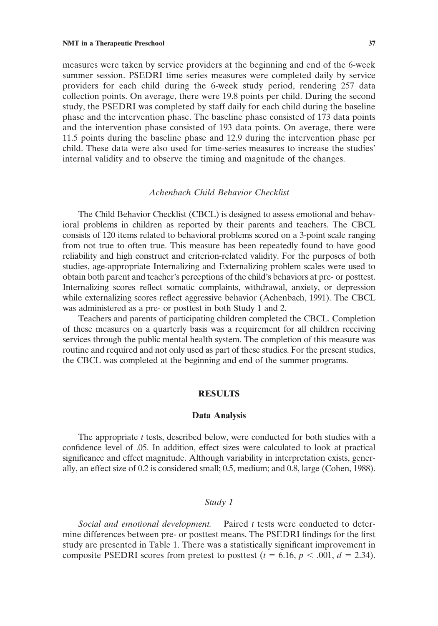measures were taken by service providers at the beginning and end of the 6-week summer session. PSEDRI time series measures were completed daily by service providers for each child during the 6-week study period, rendering 257 data collection points. On average, there were 19.8 points per child. During the second study, the PSEDRI was completed by staff daily for each child during the baseline phase and the intervention phase. The baseline phase consisted of 173 data points and the intervention phase consisted of 193 data points. On average, there were 11.5 points during the baseline phase and 12.9 during the intervention phase per child. These data were also used for time-series measures to increase the studies' internal validity and to observe the timing and magnitude of the changes.

# *Achenbach Child Behavior Checklist*

The Child Behavior Checklist (CBCL) is designed to assess emotional and behavioral problems in children as reported by their parents and teachers. The CBCL consists of 120 items related to behavioral problems scored on a 3-point scale ranging from not true to often true. This measure has been repeatedly found to have good reliability and high construct and criterion-related validity. For the purposes of both studies, age-appropriate Internalizing and Externalizing problem scales were used to obtain both parent and teacher's perceptions of the child's behaviors at pre- or posttest. Internalizing scores reflect somatic complaints, withdrawal, anxiety, or depression while externalizing scores reflect aggressive behavior (Achenbach, 1991). The CBCL was administered as a pre- or posttest in both Study 1 and 2.

Teachers and parents of participating children completed the CBCL. Completion of these measures on a quarterly basis was a requirement for all children receiving services through the public mental health system. The completion of this measure was routine and required and not only used as part of these studies. For the present studies, the CBCL was completed at the beginning and end of the summer programs.

## **RESULTS**

#### **Data Analysis**

The appropriate *t* tests, described below, were conducted for both studies with a confidence level of .05. In addition, effect sizes were calculated to look at practical significance and effect magnitude. Although variability in interpretation exists, generally, an effect size of 0.2 is considered small; 0.5, medium; and 0.8, large (Cohen, 1988).

# *Study 1*

*Social and emotional development.* Paired *t* tests were conducted to determine differences between pre- or posttest means. The PSEDRI findings for the first study are presented in Table 1. There was a statistically significant improvement in composite PSEDRI scores from pretest to posttest  $(t = 6.16, p < .001, d = 2.34)$ .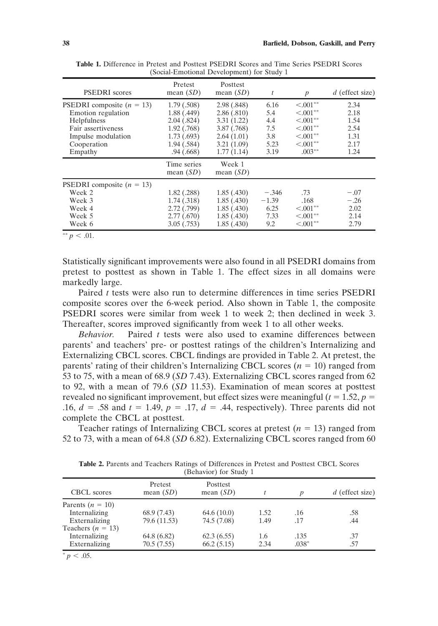| <b>PSEDRI</b> scores                                                                                                                          | Pretest<br>mean $(SD)$                                                                             | Posttest<br>mean $(SD)$                                                                         | t                                                | $\boldsymbol{p}$                                                                                  | $d$ (effect size)                                    |
|-----------------------------------------------------------------------------------------------------------------------------------------------|----------------------------------------------------------------------------------------------------|-------------------------------------------------------------------------------------------------|--------------------------------------------------|---------------------------------------------------------------------------------------------------|------------------------------------------------------|
| <b>PSEDRI</b> composite $(n = 13)$<br>Emotion regulation<br>Helpfulness<br>Fair assertiveness<br>Impulse modulation<br>Cooperation<br>Empathy | 1.79(.508)<br>1.88(0.449)<br>2.04(.824)<br>1.92(0.768)<br>1.73(0.693)<br>1.94(0.584)<br>.94(0.668) | 2.98(.848)<br>2.86(.810)<br>3.31(1.22)<br>3.87(0.768)<br>2.64(1.01)<br>3.21(1.09)<br>1.77(1.14) | 6.16<br>5.4<br>4.4<br>7.5<br>3.8<br>5.23<br>3.19 | $< .001**$<br>$< .001**$<br>$< 0.001***$<br>$< 0.001**$<br>$< 0.001**$<br>$< 0.001**$<br>$.003**$ | 2.34<br>2.18<br>1.54<br>2.54<br>1.31<br>2.17<br>1.24 |
|                                                                                                                                               | Time series<br>mean $(SD)$                                                                         | Week 1<br>mean $(SD)$                                                                           |                                                  |                                                                                                   |                                                      |
| PSEDRI composite $(n = 13)$<br>Week 2<br>Week 3<br>Week 4<br>Week 5<br>Week 6                                                                 | $1.82$ (.288)<br>1.74(.318)<br>2.72(.799)<br>2.77(.670)<br>3.05(.753)                              | 1.85(0.430)<br>1.85(0.430)<br>1.85(0.430)<br>1.85(0.430)<br>1.85(0.430)                         | $-.346$<br>$-1.39$<br>6.25<br>7.33<br>9.2        | .73<br>.168<br>$< .001$ **<br>$< .001$ **<br>$\leq 0.01**$                                        | $-.07$<br>$-.26$<br>2.02<br>2.14<br>2.79             |

**Table 1.** Difference in Pretest and Posttest PSEDRI Scores and Time Series PSEDRI Scores (Social-Emotional Development) for Study 1

 $p < .01$ .

Statistically significant improvements were also found in all PSEDRI domains from pretest to posttest as shown in Table 1. The effect sizes in all domains were markedly large.

Paired *t* tests were also run to determine differences in time series PSEDRI composite scores over the 6-week period. Also shown in Table 1, the composite PSEDRI scores were similar from week 1 to week 2; then declined in week 3. Thereafter, scores improved significantly from week 1 to all other weeks.

*Behavior.* Paired *t* tests were also used to examine differences between parents' and teachers' pre- or posttest ratings of the children's Internalizing and Externalizing CBCL scores. CBCL findings are provided in Table 2. At pretest, the parents' rating of their children's Internalizing CBCL scores  $(n = 10)$  ranged from 53 to 75, with a mean of 68.9 (*SD* 7.43). Externalizing CBCL scores ranged from 62 to 92, with a mean of 79.6 (*SD* 11.53). Examination of mean scores at posttest revealed no significant improvement, but effect sizes were meaningful  $(t = 1.52, p =$ .16,  $d = .58$  and  $t = 1.49$ ,  $p = .17$ ,  $d = .44$ , respectively). Three parents did not complete the CBCL at posttest.

Teacher ratings of Internalizing CBCL scores at pretest  $(n = 13)$  ranged from 52 to 73, with a mean of 64.8 (*SD* 6.82). Externalizing CBCL scores ranged from 60

**Table 2.** Parents and Teachers Ratings of Differences in Pretest and Posttest CBCL Scores (Behavior) for Study 1

| CBCL scores         | Pretest<br>mean $(SD)$ | Posttest<br>mean $(SD)$ |      | n       | $d$ (effect size) |
|---------------------|------------------------|-------------------------|------|---------|-------------------|
| Parents $(n = 10)$  |                        |                         |      |         |                   |
| Internalizing       | 68.9 (7.43)            | 64.6(10.0)              | 1.52 | .16     | .58               |
| Externalizing       | 79.6 (11.53)           | 74.5 (7.08)             | 1.49 | .17     | .44               |
| Teachers $(n = 13)$ |                        |                         |      |         |                   |
| Internalizing       | 64.8 (6.82)            | 62.3(6.55)              | 1.6  | .135    | .37               |
| Externalizing       | 70.5(7.55)             | 66.2(5.15)              | 2.34 | $.038*$ | .57               |

 $p < .05$ .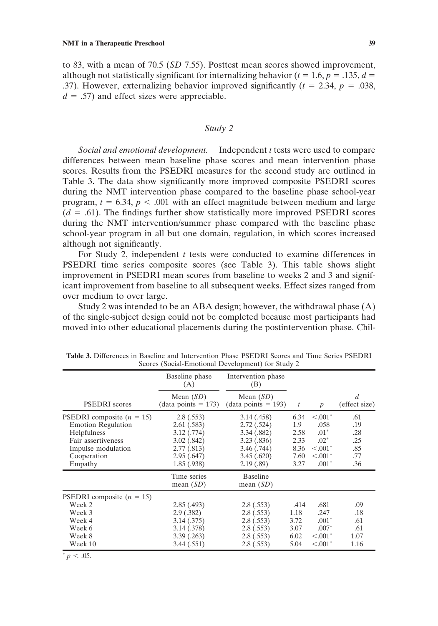to 83, with a mean of 70.5 (*SD* 7.55). Posttest mean scores showed improvement, although not statistically significant for internalizing behavior ( $t = 1.6$ ,  $p = .135$ ,  $d =$ .37). However, externalizing behavior improved significantly  $(t = 2.34, p = .038,$  $d = .57$ ) and effect sizes were appreciable.

## *Study 2*

*Social and emotional development.* Independent *t* tests were used to compare differences between mean baseline phase scores and mean intervention phase scores. Results from the PSEDRI measures for the second study are outlined in Table 3. The data show significantly more improved composite PSEDRI scores during the NMT intervention phase compared to the baseline phase school-year program,  $t = 6.34$ ,  $p < .001$  with an effect magnitude between medium and large  $(d = .61)$ . The findings further show statistically more improved PSEDRI scores during the NMT intervention/summer phase compared with the baseline phase school-year program in all but one domain, regulation, in which scores increased although not significantly.

For Study 2, independent *t* tests were conducted to examine differences in PSEDRI time series composite scores (see Table 3). This table shows slight improvement in PSEDRI mean scores from baseline to weeks 2 and 3 and significant improvement from baseline to all subsequent weeks. Effect sizes ranged from over medium to over large.

Study 2 was intended to be an ABA design; however, the withdrawal phase (A) of the single-subject design could not be completed because most participants had moved into other educational placements during the postintervention phase. Chil-

|                                                                                                                                                      | Baseline phase<br>(A)                                                                         | Intervention phase<br>(B)                                                                      |                                                     |                                                                                   |                                               |
|------------------------------------------------------------------------------------------------------------------------------------------------------|-----------------------------------------------------------------------------------------------|------------------------------------------------------------------------------------------------|-----------------------------------------------------|-----------------------------------------------------------------------------------|-----------------------------------------------|
| <b>PSEDRI</b> scores                                                                                                                                 | Mean $(SD)$<br>$(data points = 173)$                                                          | Mean $(SD)$<br>$(data points = 193)$                                                           | $\boldsymbol{t}$                                    | $\boldsymbol{p}$                                                                  | $\overline{d}$<br>(effect size)               |
| <b>PSEDRI</b> composite $(n = 15)$<br><b>Emotion Regulation</b><br>Helpfulness<br>Fair assertiveness<br>Impulse modulation<br>Cooperation<br>Empathy | 2.8(.553)<br>2.61(.583)<br>3.12(.774)<br>3.02(.842)<br>2.77(.813)<br>2.95(.647)<br>1.85(.938) | 3.14(0.458)<br>2.72(.524)<br>3.34(.882)<br>3.23(.836)<br>3.46(.744)<br>3.45(.620)<br>2.19(.89) | 6.34<br>1.9<br>2.58<br>2.33<br>8.36<br>7.60<br>3.27 | $< 0.001$ *<br>.058<br>$.01^*$<br>$.02*$<br>$< 0.001$ *<br>$< 0.001$ *<br>$.001*$ | .61<br>.19<br>.28<br>.25<br>.85<br>.77<br>.36 |
|                                                                                                                                                      | Time series<br>mean $(SD)$                                                                    | <b>Baseline</b><br>mean $(SD)$                                                                 |                                                     |                                                                                   |                                               |
| PSEDRI composite $(n = 15)$<br>Week 2<br>Week 3<br>Week 4<br>Week 6<br>Week 8<br>Week 10                                                             | 2.85(0.493)<br>2.9(0.382)<br>3.14(.375)<br>3.14 (.378)<br>3.39(.263)<br>3.44(.551)            | 2.8(.553)<br>2.8(.553)<br>2.8(.553)<br>2.8(.553)<br>2.8(.553)<br>2.8(.553)                     | .414<br>1.18<br>3.72<br>3.07<br>6.02<br>5.04        | .681<br>.247<br>$.001*$<br>$.007*$<br>$< 0.001$ *<br>$< .001*$                    | .09<br>.18<br>.61<br>.61<br>1.07<br>1.16      |

**Table 3.** Differences in Baseline and Intervention Phase PSEDRI Scores and Time Series PSEDRI Scores (Social-Emotional Development) for Study 2

 $p < .05$ .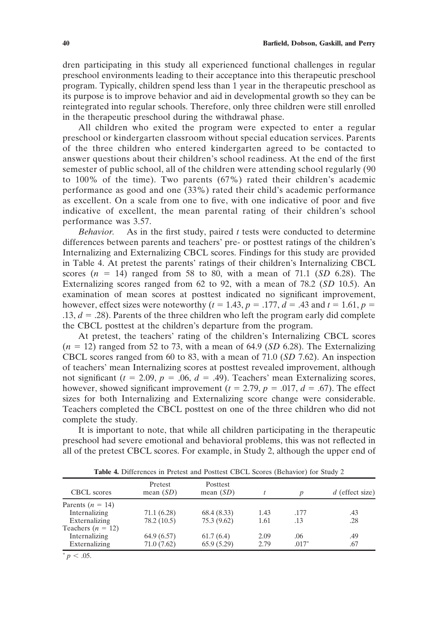dren participating in this study all experienced functional challenges in regular preschool environments leading to their acceptance into this therapeutic preschool program. Typically, children spend less than 1 year in the therapeutic preschool as its purpose is to improve behavior and aid in developmental growth so they can be reintegrated into regular schools. Therefore, only three children were still enrolled in the therapeutic preschool during the withdrawal phase.

All children who exited the program were expected to enter a regular preschool or kindergarten classroom without special education services. Parents of the three children who entered kindergarten agreed to be contacted to answer questions about their children's school readiness. At the end of the first semester of public school, all of the children were attending school regularly (90 to 100% of the time). Two parents (67%) rated their children's academic performance as good and one (33%) rated their child's academic performance as excellent. On a scale from one to five, with one indicative of poor and five indicative of excellent, the mean parental rating of their children's school performance was 3.57.

*Behavior.* As in the first study, paired *t* tests were conducted to determine differences between parents and teachers' pre- or posttest ratings of the children's Internalizing and Externalizing CBCL scores. Findings for this study are provided in Table 4. At pretest the parents' ratings of their children's Internalizing CBCL scores  $(n = 14)$  ranged from 58 to 80, with a mean of 71.1 (*SD* 6.28). The Externalizing scores ranged from 62 to 92, with a mean of 78.2 (*SD* 10.5). An examination of mean scores at posttest indicated no significant improvement, however, effect sizes were noteworthy ( $t = 1.43$ ,  $p = .177$ ,  $d = .43$  and  $t = 1.61$ ,  $p =$ .13,  $d = .28$ ). Parents of the three children who left the program early did complete the CBCL posttest at the children's departure from the program.

At pretest, the teachers' rating of the children's Internalizing CBCL scores  $(n = 12)$  ranged from 52 to 73, with a mean of 64.9 (*SD* 6.28). The Externalizing CBCL scores ranged from 60 to 83, with a mean of 71.0 (*SD* 7.62). An inspection of teachers' mean Internalizing scores at posttest revealed improvement, although not significant ( $t = 2.09$ ,  $p = .06$ ,  $d = .49$ ). Teachers' mean Externalizing scores, however, showed significant improvement ( $t = 2.79$ ,  $p = .017$ ,  $d = .67$ ). The effect sizes for both Internalizing and Externalizing score change were considerable. Teachers completed the CBCL posttest on one of the three children who did not complete the study.

It is important to note, that while all children participating in the therapeutic preschool had severe emotional and behavioral problems, this was not reflected in all of the pretest CBCL scores. For example, in Study 2, although the upper end of

| CBCL scores         | Pretest<br>mean $(SD)$ | Posttest<br>mean $(SD)$ |      |         | $d$ (effect size) |
|---------------------|------------------------|-------------------------|------|---------|-------------------|
| Parents $(n = 14)$  |                        |                         |      |         |                   |
| Internalizing       | 71.1(6.28)             | 68.4(8.33)              | 1.43 | .177    | .43               |
| Externalizing       | 78.2 (10.5)            | 75.3(9.62)              | 1.61 | .13     | .28               |
| Teachers $(n = 12)$ |                        |                         |      |         |                   |
| Internalizing       | 64.9 (6.57)            | 61.7(6.4)               | 2.09 | .06     | .49               |
| Externalizing       | 71.0 (7.62)            | 65.9(5.29)              | 2.79 | $.017*$ | .67               |

**Table 4.** Differences in Pretest and Posttest CBCL Scores (Behavior) for Study 2

 $p < .05$ .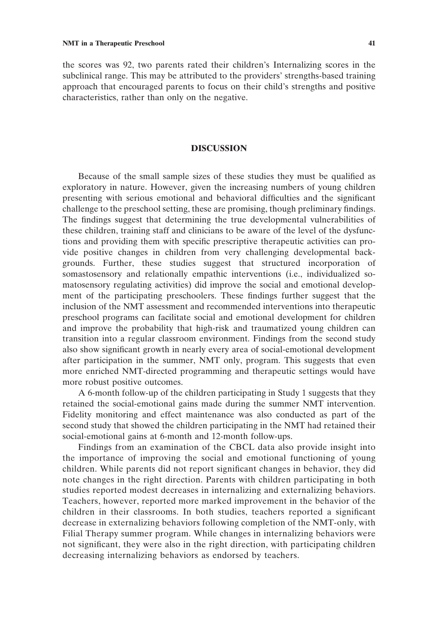the scores was 92, two parents rated their children's Internalizing scores in the subclinical range. This may be attributed to the providers' strengths-based training approach that encouraged parents to focus on their child's strengths and positive characteristics, rather than only on the negative.

# **DISCUSSION**

Because of the small sample sizes of these studies they must be qualified as exploratory in nature. However, given the increasing numbers of young children presenting with serious emotional and behavioral difficulties and the significant challenge to the preschool setting, these are promising, though preliminary findings. The findings suggest that determining the true developmental vulnerabilities of these children, training staff and clinicians to be aware of the level of the dysfunctions and providing them with specific prescriptive therapeutic activities can provide positive changes in children from very challenging developmental backgrounds. Further, these studies suggest that structured incorporation of somastosensory and relationally empathic interventions (i.e., individualized somatosensory regulating activities) did improve the social and emotional development of the participating preschoolers. These findings further suggest that the inclusion of the NMT assessment and recommended interventions into therapeutic preschool programs can facilitate social and emotional development for children and improve the probability that high-risk and traumatized young children can transition into a regular classroom environment. Findings from the second study also show significant growth in nearly every area of social-emotional development after participation in the summer, NMT only, program. This suggests that even more enriched NMT-directed programming and therapeutic settings would have more robust positive outcomes.

A 6-month follow-up of the children participating in Study 1 suggests that they retained the social-emotional gains made during the summer NMT intervention. Fidelity monitoring and effect maintenance was also conducted as part of the second study that showed the children participating in the NMT had retained their social-emotional gains at 6-month and 12-month follow-ups.

Findings from an examination of the CBCL data also provide insight into the importance of improving the social and emotional functioning of young children. While parents did not report significant changes in behavior, they did note changes in the right direction. Parents with children participating in both studies reported modest decreases in internalizing and externalizing behaviors. Teachers, however, reported more marked improvement in the behavior of the children in their classrooms. In both studies, teachers reported a significant decrease in externalizing behaviors following completion of the NMT-only, with Filial Therapy summer program. While changes in internalizing behaviors were not significant, they were also in the right direction, with participating children decreasing internalizing behaviors as endorsed by teachers.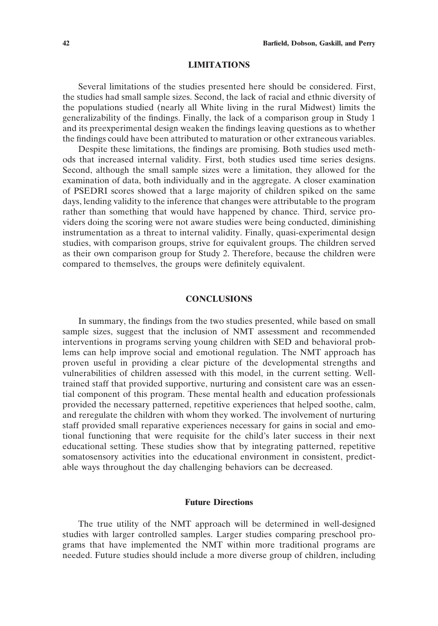#### **LIMITATIONS**

Several limitations of the studies presented here should be considered. First, the studies had small sample sizes. Second, the lack of racial and ethnic diversity of the populations studied (nearly all White living in the rural Midwest) limits the generalizability of the findings. Finally, the lack of a comparison group in Study 1 and its preexperimental design weaken the findings leaving questions as to whether the findings could have been attributed to maturation or other extraneous variables.

Despite these limitations, the findings are promising. Both studies used methods that increased internal validity. First, both studies used time series designs. Second, although the small sample sizes were a limitation, they allowed for the examination of data, both individually and in the aggregate. A closer examination of PSEDRI scores showed that a large majority of children spiked on the same days, lending validity to the inference that changes were attributable to the program rather than something that would have happened by chance. Third, service providers doing the scoring were not aware studies were being conducted, diminishing instrumentation as a threat to internal validity. Finally, quasi-experimental design studies, with comparison groups, strive for equivalent groups. The children served as their own comparison group for Study 2. Therefore, because the children were compared to themselves, the groups were definitely equivalent.

# **CONCLUSIONS**

In summary, the findings from the two studies presented, while based on small sample sizes, suggest that the inclusion of NMT assessment and recommended interventions in programs serving young children with SED and behavioral problems can help improve social and emotional regulation. The NMT approach has proven useful in providing a clear picture of the developmental strengths and vulnerabilities of children assessed with this model, in the current setting. Welltrained staff that provided supportive, nurturing and consistent care was an essential component of this program. These mental health and education professionals provided the necessary patterned, repetitive experiences that helped soothe, calm, and reregulate the children with whom they worked. The involvement of nurturing staff provided small reparative experiences necessary for gains in social and emotional functioning that were requisite for the child's later success in their next educational setting. These studies show that by integrating patterned, repetitive somatosensory activities into the educational environment in consistent, predictable ways throughout the day challenging behaviors can be decreased.

# **Future Directions**

The true utility of the NMT approach will be determined in well-designed studies with larger controlled samples. Larger studies comparing preschool programs that have implemented the NMT within more traditional programs are needed. Future studies should include a more diverse group of children, including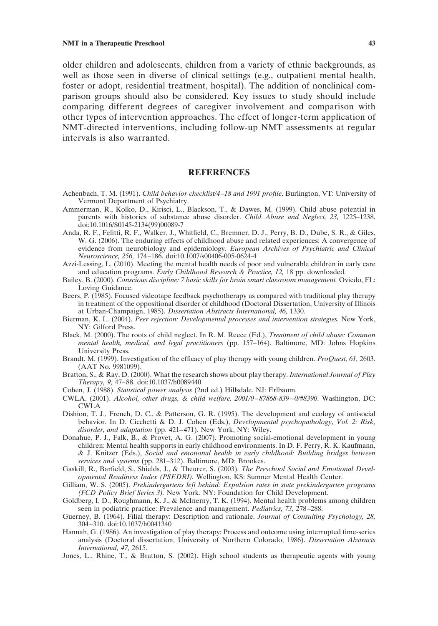older children and adolescents, children from a variety of ethnic backgrounds, as well as those seen in diverse of clinical settings (e.g., outpatient mental health, foster or adopt, residential treatment, hospital). The addition of nonclinical comparison groups should also be considered. Key issues to study should include comparing different degrees of caregiver involvement and comparison with other types of intervention approaches. The effect of longer-term application of NMT-directed interventions, including follow-up NMT assessments at regular intervals is also warranted.

#### **REFERENCES**

- Achenbach, T. M. (1991). *Child behavior checklist/4–18 and 1991 profile*. Burlington, VT: University of Vermont Department of Psychiatry.
- Ammerman, R., Kolko, D., Kirisci, L., Blackson, T., & Dawes, M. (1999). Child abuse potential in parents with histories of substance abuse disorder. *Child Abuse and Neglect, 23,* 1225–1238. doi:10.1016/S0145-2134(99)00089-7
- Anda, R. F., Felitti, R. F., Walker, J., Whitfield, C., Bremner, D. J., Perry, B. D., Dube, S. R., & Giles, W. G. (2006). The enduring effects of childhood abuse and related experiences: A convergence of evidence from neurobiology and epidemiology. *European Archives of Psychiatric and Clinical Neuroscience, 256,* 174 –186. doi:10.1007/s00406-005-0624-4
- Azzi-Lessing, L. (2010). Meeting the mental health needs of poor and vulnerable children in early care and education programs. *Early Childhood Research & Practice, 12,* 18 pp. downloaded.
- Bailey, B. (2000). *Conscious discipline: 7 basic skills for brain smart classroom management.* Oviedo, FL: Loving Guidance.
- Beers, P. (1985). Focused videotape feedback psychotherapy as compared with traditional play therapy in treatment of the oppositional disorder of childhood (Doctoral Dissertation, University of Illinois at Urban-Champaign, 1985). *Dissertation Abstracts International, 46,* 1330.
- Bierman, K. L. (2004). *Peer rejection: Developmental processes and intervention strategies.* New York, NY: Gilford Press.
- Black, M. (2000). The roots of child neglect. In R. M. Reece (Ed.), *Treatment of child abuse: Common mental health, medical, and legal practitioners* (pp. 157–164). Baltimore, MD: Johns Hopkins University Press.
- Brandt, M. (1999). Investigation of the efficacy of play therapy with young children. *ProQuest, 61,* 2603. (AAT No. 9981099).
- Bratton, S., & Ray, D. (2000). What the research shows about play therapy. *International Journal of Play Therapy, 9,* 47– 88. doi:10.1037/h0089440
- Cohen, J. (1988). *Statistical power analysis* (2nd ed.) Hillsdale, NJ: Erlbaum.
- CWLA. (2001). *Alcohol, other drugs, & child welfare. 2001/0–87868-839–0/#8390*. Washington, DC: CWLA
- Dishion, T. J., French, D. C., & Patterson, G. R. (1995). The development and ecology of antisocial behavior. In D. Cicchetti & D. J. Cohen (Eds.), *Developmental psychopathology, Vol. 2: Risk,* disorder, and adaptation (pp. 421-471). New York, NY: Wiley.
- Donahue, P. J., Falk, B., & Provet, A. G. (2007). Promoting social-emotional development in young children: Mental health supports in early childhood environments. In D. F. Perry, R. K. Kaufmann, & J. Knitzer (Eds.), *Social and emotional health in early childhood: Building bridges between services and systems* (pp. 281–312). Baltimore, MD: Brookes.
- Gaskill, R., Barfield, S., Shields, J., & Theurer, S. (2003). *The Preschool Social and Emotional Developmental Readiness Index (PSEDRI).* Wellington, KS: Sumner Mental Health Center.
- Gilliam, W. S. (2005). *Prekindergartens left behind: Expulsion rates in state prekindergarten programs (FCD Policy Brief Series 3).* New York, NY: Foundation for Child Development.
- Goldberg, I. D., Roughmann, K. J., & McInerny, T. K. (1994). Mental health problems among children seen in podiatric practice: Prevalence and management. *Pediatrics, 73,* 278 –288.
- Guerney, B. (1964). Filial therapy: Description and rationale. *Journal of Consulting Psychology, 28,* 304 –310. doi:10.1037/h0041340
- Hannah, G. (1986). An investigation of play therapy: Process and outcome using interrupted time-series analysis (Doctoral dissertation, University of Northern Colorado, 1986). *Dissertation Abstracts International, 47,* 2615.
- Jones, L., Rhine, T., & Bratton, S. (2002). High school students as therapeutic agents with young